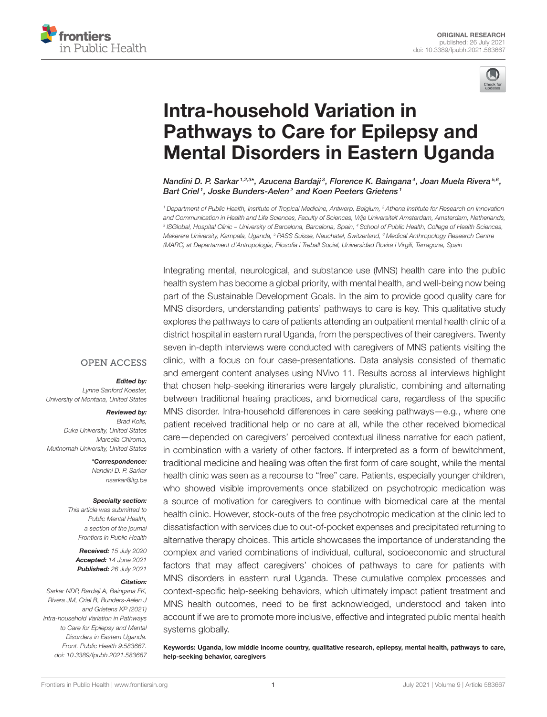



# Intra-household Variation in Pathways to Care for Epilepsy and [Mental Disorders in Eastern Uganda](https://www.frontiersin.org/articles/10.3389/fpubh.2021.583667/full)

Nandini D. P. Sarkar 1.2.3\*, Azucena Bardaji 3, Florence K. Baingana 4, Joan Muela Rivera 5.6, Bart Criel1, Joske Bunders-Aelen<sup>2</sup> and Koen Peeters Grietens1

*<sup>1</sup> Department of Public Health, Institute of Tropical Medicine, Antwerp, Belgium, <sup>2</sup> Athena Institute for Research on Innovation and Communication in Health and Life Sciences, Faculty of Sciences, Vrije Universiteit Amsterdam, Amsterdam, Netherlands, 3 ISGlobal, Hospital Clinic – University of Barcelona, Barcelona, Spain, <sup>4</sup> School of Public Health, College of Health Sciences, Makerere University, Kampala, Uganda, <sup>5</sup> PASS Suisse, Neuchatel, Switzerland, <sup>6</sup> Medical Anthropology Research Centre (MARC) at Departament d'Antropologia, Filosofia i Treball Social, Universidad Rovira i Virgili, Tarragona, Spain*

Integrating mental, neurological, and substance use (MNS) health care into the public health system has become a global priority, with mental health, and well-being now being part of the Sustainable Development Goals. In the aim to provide good quality care for MNS disorders, understanding patients' pathways to care is key. This qualitative study explores the pathways to care of patients attending an outpatient mental health clinic of a district hospital in eastern rural Uganda, from the perspectives of their caregivers. Twenty seven in-depth interviews were conducted with caregivers of MNS patients visiting the clinic, with a focus on four case-presentations. Data analysis consisted of thematic and emergent content analyses using NVivo 11. Results across all interviews highlight that chosen help-seeking itineraries were largely pluralistic, combining and alternating between traditional healing practices, and biomedical care, regardless of the specific MNS disorder. Intra-household differences in care seeking pathways—e.g., where one patient received traditional help or no care at all, while the other received biomedical care—depended on caregivers' perceived contextual illness narrative for each patient, in combination with a variety of other factors. If interpreted as a form of bewitchment, traditional medicine and healing was often the first form of care sought, while the mental health clinic was seen as a recourse to "free" care. Patients, especially younger children, who showed visible improvements once stabilized on psychotropic medication was a source of motivation for caregivers to continue with biomedical care at the mental health clinic. However, stock-outs of the free psychotropic medication at the clinic led to dissatisfaction with services due to out-of-pocket expenses and precipitated returning to alternative therapy choices. This article showcases the importance of understanding the complex and varied combinations of individual, cultural, socioeconomic and structural factors that may affect caregivers' choices of pathways to care for patients with MNS disorders in eastern rural Uganda. These cumulative complex processes and context-specific help-seeking behaviors, which ultimately impact patient treatment and MNS health outcomes, need to be first acknowledged, understood and taken into account if we are to promote more inclusive, effective and integrated public mental health systems globally.

Keywords: Uganda, low middle income country, qualitative research, epilepsy, mental health, pathways to care, help-seeking behavior, caregivers

### **OPEN ACCESS**

### Edited by:

*Lynne Sanford Koester, University of Montana, United States*

#### Reviewed by:

*Brad Kolls, Duke University, United States Marcella Chiromo, Multnomah University, United States*

> \*Correspondence: *Nandini D. P. Sarkar [nsarkar@itg.be](mailto:nsarkar@itg.be)*

#### Specialty section:

*This article was submitted to Public Mental Health, a section of the journal Frontiers in Public Health*

Received: *15 July 2020* Accepted: *14 June 2021* Published: *26 July 2021*

#### Citation:

*Sarkar NDP, Bardaji A, Baingana FK, Rivera JM, Criel B, Bunders-Aelen J and Grietens KP (2021) Intra-household Variation in Pathways to Care for Epilepsy and Mental Disorders in Eastern Uganda. Front. Public Health 9:583667. doi: [10.3389/fpubh.2021.583667](https://doi.org/10.3389/fpubh.2021.583667)*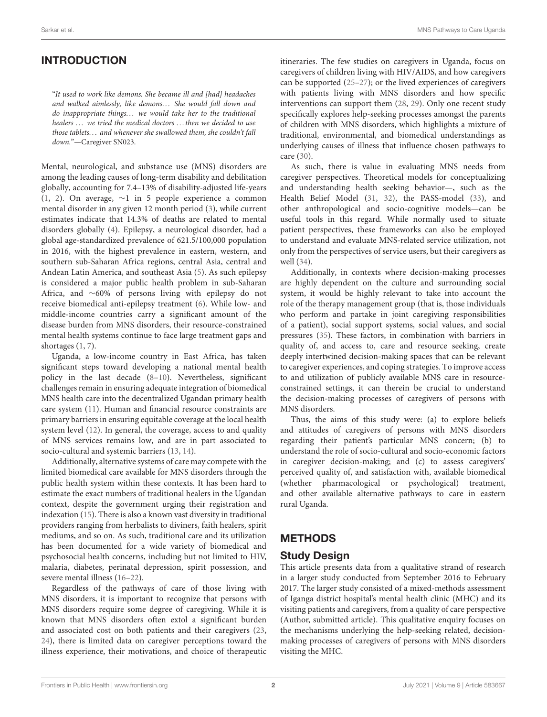# INTRODUCTION

"It used to work like demons. She became ill and [had] headaches and walked aimlessly, like demons... She would fall down and do inappropriate things. . . we would take her to the traditional healers ... we tried the medical doctors ... then we decided to use those tablets. . . and whenever she swallowed them, she couldn't fall down."—Caregiver SN023.

Mental, neurological, and substance use (MNS) disorders are among the leading causes of long-term disability and debilitation globally, accounting for 7.4–13% of disability-adjusted life-years [\(1,](#page-9-0) [2\)](#page-9-1). On average, ∼1 in 5 people experience a common mental disorder in any given 12 month period [\(3\)](#page-9-2), while current estimates indicate that 14.3% of deaths are related to mental disorders globally [\(4\)](#page-9-3). Epilepsy, a neurological disorder, had a global age-standardized prevalence of 621.5/100,000 population in 2016, with the highest prevalence in eastern, western, and southern sub-Saharan Africa regions, central Asia, central and Andean Latin America, and southeast Asia [\(5\)](#page-9-4). As such epilepsy is considered a major public health problem in sub-Saharan Africa, and ∼60% of persons living with epilepsy do not receive biomedical anti-epilepsy treatment [\(6\)](#page-9-5). While low- and middle-income countries carry a significant amount of the disease burden from MNS disorders, their resource-constrained mental health systems continue to face large treatment gaps and shortages [\(1,](#page-9-0) [7\)](#page-9-6).

Uganda, a low-income country in East Africa, has taken significant steps toward developing a national mental health policy in the last decade [\(8](#page-9-7)[–10\)](#page-9-8). Nevertheless, significant challenges remain in ensuring adequate integration of biomedical MNS health care into the decentralized Ugandan primary health care system [\(11\)](#page-9-9). Human and financial resource constraints are primary barriers in ensuring equitable coverage at the local health system level [\(12\)](#page-9-10). In general, the coverage, access to and quality of MNS services remains low, and are in part associated to socio-cultural and systemic barriers [\(13,](#page-9-11) [14\)](#page-9-12).

Additionally, alternative systems of care may compete with the limited biomedical care available for MNS disorders through the public health system within these contexts. It has been hard to estimate the exact numbers of traditional healers in the Ugandan context, despite the government urging their registration and indexation [\(15\)](#page-9-13). There is also a known vast diversity in traditional providers ranging from herbalists to diviners, faith healers, spirit mediums, and so on. As such, traditional care and its utilization has been documented for a wide variety of biomedical and psychosocial health concerns, including but not limited to HIV, malaria, diabetes, perinatal depression, spirit possession, and severe mental illness [\(16–](#page-10-0)[22\)](#page-10-1).

Regardless of the pathways of care of those living with MNS disorders, it is important to recognize that persons with MNS disorders require some degree of caregiving. While it is known that MNS disorders often extol a significant burden and associated cost on both patients and their caregivers [\(23,](#page-10-2) [24\)](#page-10-3), there is limited data on caregiver perceptions toward the illness experience, their motivations, and choice of therapeutic itineraries. The few studies on caregivers in Uganda, focus on caregivers of children living with HIV/AIDS, and how caregivers can be supported [\(25](#page-10-4)[–27\)](#page-10-5); or the lived experiences of caregivers with patients living with MNS disorders and how specific interventions can support them [\(28,](#page-10-6) [29\)](#page-10-7). Only one recent study specifically explores help-seeking processes amongst the parents of children with MNS disorders, which highlights a mixture of traditional, environmental, and biomedical understandings as underlying causes of illness that influence chosen pathways to care [\(30\)](#page-10-8).

As such, there is value in evaluating MNS needs from caregiver perspectives. Theoretical models for conceptualizing and understanding health seeking behavior—, such as the Health Belief Model [\(31,](#page-10-9) [32\)](#page-10-10), the PASS-model [\(33\)](#page-10-11), and other anthropological and socio-cognitive models—can be useful tools in this regard. While normally used to situate patient perspectives, these frameworks can also be employed to understand and evaluate MNS-related service utilization, not only from the perspectives of service users, but their caregivers as well [\(34\)](#page-10-12).

Additionally, in contexts where decision-making processes are highly dependent on the culture and surrounding social system, it would be highly relevant to take into account the role of the therapy management group (that is, those individuals who perform and partake in joint caregiving responsibilities of a patient), social support systems, social values, and social pressures [\(35\)](#page-10-13). These factors, in combination with barriers in quality of, and access to, care and resource seeking, create deeply intertwined decision-making spaces that can be relevant to caregiver experiences, and coping strategies. To improve access to and utilization of publicly available MNS care in resourceconstrained settings, it can therein be crucial to understand the decision-making processes of caregivers of persons with MNS disorders.

Thus, the aims of this study were: (a) to explore beliefs and attitudes of caregivers of persons with MNS disorders regarding their patient's particular MNS concern; (b) to understand the role of socio-cultural and socio-economic factors in caregiver decision-making; and (c) to assess caregivers' perceived quality of, and satisfaction with, available biomedical (whether pharmacological or psychological) treatment, and other available alternative pathways to care in eastern rural Uganda.

### **METHODS**

### Study Design

This article presents data from a qualitative strand of research in a larger study conducted from September 2016 to February 2017. The larger study consisted of a mixed-methods assessment of Iganga district hospital's mental health clinic (MHC) and its visiting patients and caregivers, from a quality of care perspective (Author, submitted article). This qualitative enquiry focuses on the mechanisms underlying the help-seeking related, decisionmaking processes of caregivers of persons with MNS disorders visiting the MHC.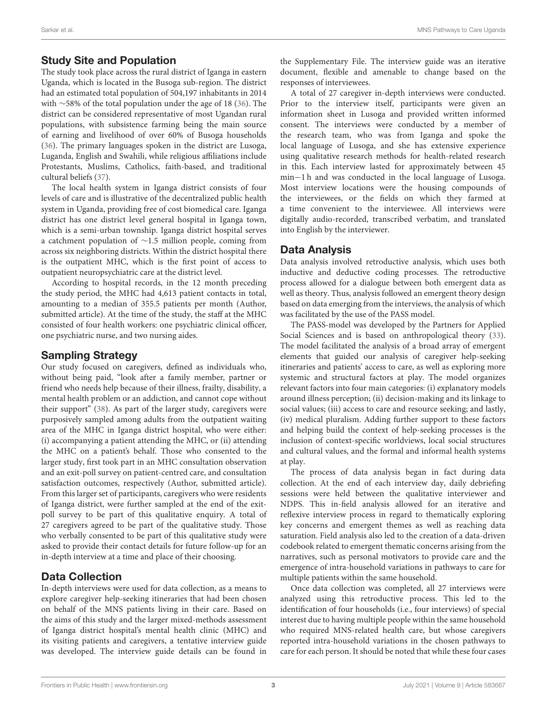### Study Site and Population

The study took place across the rural district of Iganga in eastern Uganda, which is located in the Busoga sub-region. The district had an estimated total population of 504,197 inhabitants in 2014 with ∼58% of the total population under the age of 18 [\(36\)](#page-10-14). The district can be considered representative of most Ugandan rural populations, with subsistence farming being the main source of earning and livelihood of over 60% of Busoga households [\(36\)](#page-10-14). The primary languages spoken in the district are Lusoga, Luganda, English and Swahili, while religious affiliations include Protestants, Muslims, Catholics, faith-based, and traditional cultural beliefs [\(37\)](#page-10-15).

The local health system in Iganga district consists of four levels of care and is illustrative of the decentralized public health system in Uganda, providing free of cost biomedical care. Iganga district has one district level general hospital in Iganga town, which is a semi-urban township. Iganga district hospital serves a catchment population of ∼1.5 million people, coming from across six neighboring districts. Within the district hospital there is the outpatient MHC, which is the first point of access to outpatient neuropsychiatric care at the district level.

According to hospital records, in the 12 month preceding the study period, the MHC had 4,613 patient contacts in total, amounting to a median of 355.5 patients per month (Author, submitted article). At the time of the study, the staff at the MHC consisted of four health workers: one psychiatric clinical officer, one psychiatric nurse, and two nursing aides.

### Sampling Strategy

Our study focused on caregivers, defined as individuals who, without being paid, "look after a family member, partner or friend who needs help because of their illness, frailty, disability, a mental health problem or an addiction, and cannot cope without their support" [\(38\)](#page-10-16). As part of the larger study, caregivers were purposively sampled among adults from the outpatient waiting area of the MHC in Iganga district hospital, who were either: (i) accompanying a patient attending the MHC, or (ii) attending the MHC on a patient's behalf. Those who consented to the larger study, first took part in an MHC consultation observation and an exit-poll survey on patient-centred care, and consultation satisfaction outcomes, respectively (Author, submitted article). From this larger set of participants, caregivers who were residents of Iganga district, were further sampled at the end of the exitpoll survey to be part of this qualitative enquiry. A total of 27 caregivers agreed to be part of the qualitative study. Those who verbally consented to be part of this qualitative study were asked to provide their contact details for future follow-up for an in-depth interview at a time and place of their choosing.

### Data Collection

In-depth interviews were used for data collection, as a means to explore caregiver help-seeking itineraries that had been chosen on behalf of the MNS patients living in their care. Based on the aims of this study and the larger mixed-methods assessment of Iganga district hospital's mental health clinic (MHC) and its visiting patients and caregivers, a tentative interview guide was developed. The interview guide details can be found in the Supplementary File. The interview guide was an iterative document, flexible and amenable to change based on the responses of interviewees.

A total of 27 caregiver in-depth interviews were conducted. Prior to the interview itself, participants were given an information sheet in Lusoga and provided written informed consent. The interviews were conducted by a member of the research team, who was from Iganga and spoke the local language of Lusoga, and she has extensive experience using qualitative research methods for health-related research in this. Each interview lasted for approximately between 45 min−1 h and was conducted in the local language of Lusoga. Most interview locations were the housing compounds of the interviewees, or the fields on which they farmed at a time convenient to the interviewee. All interviews were digitally audio-recorded, transcribed verbatim, and translated into English by the interviewer.

### Data Analysis

Data analysis involved retroductive analysis, which uses both inductive and deductive coding processes. The retroductive process allowed for a dialogue between both emergent data as well as theory. Thus, analysis followed an emergent theory design based on data emerging from the interviews, the analysis of which was facilitated by the use of the PASS model.

The PASS-model was developed by the Partners for Applied Social Sciences and is based on anthropological theory [\(33\)](#page-10-11). The model facilitated the analysis of a broad array of emergent elements that guided our analysis of caregiver help-seeking itineraries and patients' access to care, as well as exploring more systemic and structural factors at play. The model organizes relevant factors into four main categories: (i) explanatory models around illness perception; (ii) decision-making and its linkage to social values; (iii) access to care and resource seeking; and lastly, (iv) medical pluralism. Adding further support to these factors and helping build the context of help-seeking processes is the inclusion of context-specific worldviews, local social structures and cultural values, and the formal and informal health systems at play.

The process of data analysis began in fact during data collection. At the end of each interview day, daily debriefing sessions were held between the qualitative interviewer and NDPS. This in-field analysis allowed for an iterative and reflexive interview process in regard to thematically exploring key concerns and emergent themes as well as reaching data saturation. Field analysis also led to the creation of a data-driven codebook related to emergent thematic concerns arising from the narratives, such as personal motivators to provide care and the emergence of intra-household variations in pathways to care for multiple patients within the same household.

Once data collection was completed, all 27 interviews were analyzed using this retroductive process. This led to the identification of four households (i.e., four interviews) of special interest due to having multiple people within the same household who required MNS-related health care, but whose caregivers reported intra-household variations in the chosen pathways to care for each person. It should be noted that while these four cases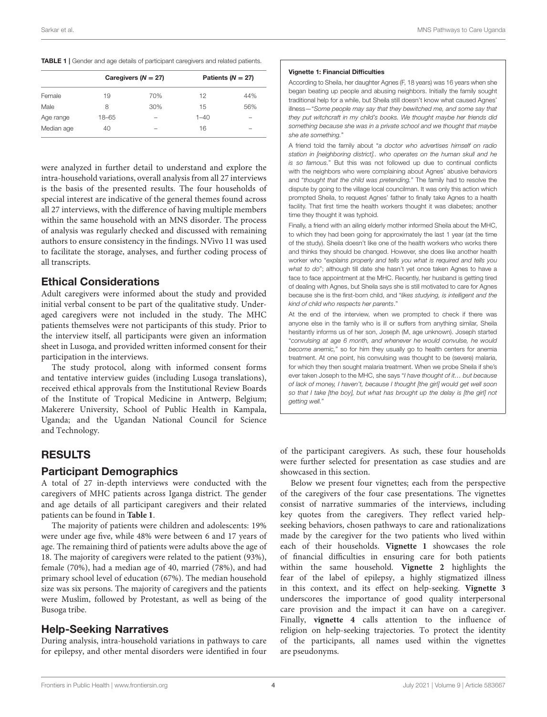<span id="page-3-0"></span>

|  |  |  | TABLE 1   Gender and age details of participant caregivers and related patients. |  |  |
|--|--|--|----------------------------------------------------------------------------------|--|--|
|  |  |  |                                                                                  |  |  |

|            |       | Caregivers ( $N = 27$ )  | Patients ( $N = 27$ ) |     |  |
|------------|-------|--------------------------|-----------------------|-----|--|
| Female     | 19    | 70%                      | 12                    | 44% |  |
| Male       | 8     | 30%                      | 15                    | 56% |  |
| Age range  | 18-65 | $\overline{\phantom{a}}$ | $1 - 40$              | -   |  |
| Median age | 40    | -                        | 16                    | -   |  |
|            |       |                          |                       |     |  |

were analyzed in further detail to understand and explore the intra-household variations, overall analysis from all 27 interviews is the basis of the presented results. The four households of special interest are indicative of the general themes found across all 27 interviews, with the difference of having multiple members within the same household with an MNS disorder. The process of analysis was regularly checked and discussed with remaining authors to ensure consistency in the findings. NVivo 11 was used to facilitate the storage, analyses, and further coding process of all transcripts.

# Ethical Considerations

Adult caregivers were informed about the study and provided initial verbal consent to be part of the qualitative study. Underaged caregivers were not included in the study. The MHC patients themselves were not participants of this study. Prior to the interview itself, all participants were given an information sheet in Lusoga, and provided written informed consent for their participation in the interviews.

The study protocol, along with informed consent forms and tentative interview guides (including Lusoga translations), received ethical approvals from the Institutional Review Boards of the Institute of Tropical Medicine in Antwerp, Belgium; Makerere University, School of Public Health in Kampala, Uganda; and the Ugandan National Council for Science and Technology.

# RESULTS

### Participant Demographics

A total of 27 in-depth interviews were conducted with the caregivers of MHC patients across Iganga district. The gender and age details of all participant caregivers and their related patients can be found in **[Table 1](#page-3-0)**.

The majority of patients were children and adolescents: 19% were under age five, while 48% were between 6 and 17 years of age. The remaining third of patients were adults above the age of 18. The majority of caregivers were related to the patient (93%), female (70%), had a median age of 40, married (78%), and had primary school level of education (67%). The median household size was six persons. The majority of caregivers and the patients were Muslim, followed by Protestant, as well as being of the Busoga tribe.

# Help-Seeking Narratives

During analysis, intra-household variations in pathways to care for epilepsy, and other mental disorders were identified in four

#### Vignette 1: Financial Difficulties

According to Sheila, her daughter Agnes (F, 18 years) was 16 years when she began beating up people and abusing neighbors. Initially the family sought traditional help for a while, but Sheila still doesn't know what caused Agnes' illness—"*Some people may say that they bewitched me, and some say that they put witchcraft in my child's books. We thought maybe her friends did something because she was in a private school and we thought that maybe she ate something.*"

A friend told the family about "*a doctor who advertises himself on radio station in [neighboring district].. who operates on the human skull and he is so famous.*" But this was not followed up due to continual conflicts with the neighbors who were complaining about Agnes' abusive behaviors and "*thought that the child was pretending.*" The family had to resolve the dispute by going to the village local councilman. It was only this action which prompted Sheila, to request Agnes' father to finally take Agnes to a health facility. That first time the health workers thought it was diabetes; another time they thought it was typhoid.

Finally, a friend with an ailing elderly mother informed Sheila about the MHC, to which they had been going for approximately the last 1 year (at the time of the study). Sheila doesn't like one of the health workers who works there and thinks they should be changed. However, she does like another health worker who "*explains properly and tells you what is required and tells you what to do*"; although till date she hasn't yet once taken Agnes to have a face to face appointment at the MHC. Recently, her husband is getting tired of dealing with Agnes, but Sheila says she is still motivated to care for Agnes because she is the first-born child, and "*likes studying, is intelligent and the kind of child who respects her parents*."

At the end of the interview, when we prompted to check if there was anyone else in the family who is ill or suffers from anything similar, Sheila hesitantly informs us of her son, Joseph (M, age unknown). Joseph started "*convulsing at age 6 month, and whenever he would convulse, he would become anemic,*" so for him they usually go to health centers for anemia treatment. At one point, his convulsing was thought to be (severe) malaria, for which they then sought malaria treatment. When we probe Sheila if she's ever taken Joseph to the MHC, she says "*I have thought of it… but because of lack of money, I haven't, because I thought [the girl] would get well soon so that I take [the boy], but what has brought up the delay is [the girl] not getting well.*"

of the participant caregivers. As such, these four households were further selected for presentation as case studies and are showcased in this section.

Below we present four vignettes; each from the perspective of the caregivers of the four case presentations. The vignettes consist of narrative summaries of the interviews, including key quotes from the caregivers. They reflect varied helpseeking behaviors, chosen pathways to care and rationalizations made by the caregiver for the two patients who lived within each of their households. **Vignette 1** showcases the role of financial difficulties in ensuring care for both patients within the same household. **Vignette 2** highlights the fear of the label of epilepsy, a highly stigmatized illness in this context, and its effect on help-seeking. **Vignette 3** underscores the importance of good quality interpersonal care provision and the impact it can have on a caregiver. Finally, **vignette 4** calls attention to the influence of religion on help-seeking trajectories. To protect the identity of the participants, all names used within the vignettes are pseudonyms.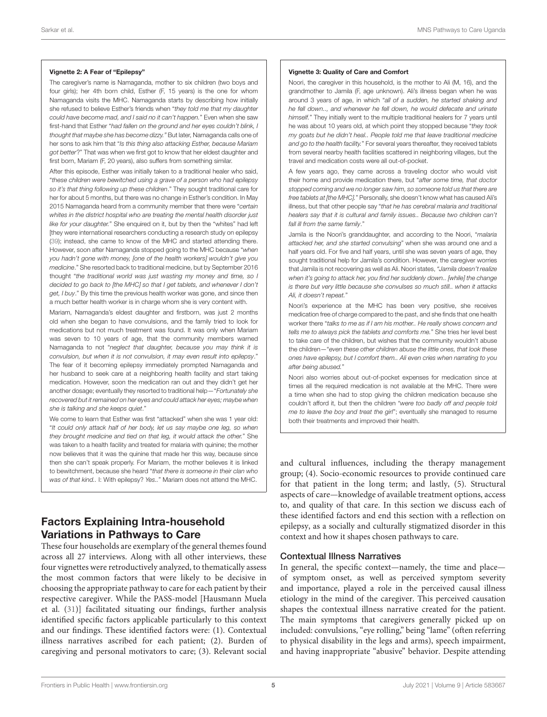#### Vignette 2: A Fear of "Epilepsy"

The caregiver's name is Namaganda, mother to six children (two boys and four airls); her 4th born child, Esther (F, 15 years) is the one for whom Namaganda visits the MHC. Namaganda starts by describing how initially she refused to believe Esther's friends when "*they told me that my daughter could have become mad, and I said no it can't happen.*" Even when she saw first-hand that Esther "*had fallen on the ground and her eyes couldn't blink, I thought that maybe she has become dizzy."* But later, Namaganda calls one of her sons to ask him that "*Is this thing also attacking Esther, because Mariam got better*?" That was when we first got to know that her eldest daughter and first born, Mariam (F, 20 years), also suffers from something similar.

After this episode, Esther was initially taken to a traditional healer who said, "*these children were bewitched using a grave of a person who had epilepsy so it's that thing following up these children*." They sought traditional care for her for about 5 months, but there was no change in Esther's condition. In May 2015 Namaganda heard from a community member that there were "*certain whites in the district hospital who are treating the mental health disorder just like for your daughter.*" She enquired on it, but by then the "whites" had left [they were international researchers conducting a research study on epilepsy [\(39\)](#page-10-17); instead, she came to know of the MHC and started attending there. However, soon after Namaganda stopped going to the MHC because "*when you hadn't gone with money, [one of the health workers] wouldn't give you medicine*." She resorted back to traditional medicine, but by September 2016 thought "*the traditional world was just wasting my money and time, so I decided to go back to [the MHC] so that I get tablets, and whenever I don't get, I buy*." By this time the previous health worker was gone, and since then a much better health worker is in charge whom she is very content with.

Mariam, Namaganda's eldest daughter and firstborn, was just 2 months old when she began to have convulsions, and the family tried to look for medications but not much treatment was found. It was only when Mariam was seven to 10 years of age, that the community members warned Namaganda to not "*neglect that daughter, because you may think it is convulsion, but when it is not convulsion, it may even result into epilepsy*." The fear of it becoming epilepsy immediately prompted Namaganda and her husband to seek care at a neighboring health facility and start taking medication. However, soon the medication ran out and they didn't get her another dosage; eventually they resorted to traditional help—"*Fortunately she recovered but it remained on her eyes and could attack her eyes; maybe when she is talking and she keeps quiet*."

We come to learn that Esther was first "attacked" when she was 1 year old: "*It could only attack half of her body, let us say maybe one leg, so when they brought medicine and tied on that leg, it would attack the other.*" She was taken to a health facility and treated for malaria with quinine; the mother now believes that it was the quinine that made her this way, because since then she can't speak properly. For Mariam, the mother believes it is linked to bewitchment, because she heard "*that there is someone in their clan who was of that kind..* I: With epilepsy? *Yes..*" Mariam does not attend the MHC.

# Factors Explaining Intra-household Variations in Pathways to Care

These four households are exemplary of the general themes found across all 27 interviews. Along with all other interviews, these four vignettes were retroductively analyzed, to thematically assess the most common factors that were likely to be decisive in choosing the appropriate pathway to care for each patient by their respective caregiver. While the PASS-model [Hausmann Muela et al. [\(31\)](#page-10-9)] facilitated situating our findings, further analysis identified specific factors applicable particularly to this context and our findings. These identified factors were: (1). Contextual illness narratives ascribed for each patient; (2). Burden of caregiving and personal motivators to care; (3). Relevant social

#### Vignette 3: Quality of Care and Comfort

Noori, the caregiver in this household, is the mother to Ali (M, 16), and the grandmother to Jamila (F, age unknown). Ali's illness began when he was around 3 years of age, in which "*all of a sudden, he started shaking and he fell down.., and whenever he fell down, he would defecate and urinate himself.*" They initially went to the multiple traditional healers for 7 years until he was about 10 years old, at which point they stopped because "*they took my goats but he didn't heal.. People told me that leave traditional medicine and go to the health facility.*" For several years thereafter, they received tablets from several nearby health facilities scattered in neighboring villages, but the travel and medication costs were all out-of-pocket.

A few years ago, they came across a traveling doctor who would visit their home and provide medication there, but "*after some time, that doctor stopped coming and we no longer saw him, so someone told us that there are free tablets at [the MHC].*" Personally, she doesn't know what has caused Ali's illness, but that other people say "*that he has cerebral malaria and traditional healers say that it is cultural and family issues.. Because two children can't fall ill from the same family*."

Jamila is the Noori's granddaughter, and according to the Noori, "*malaria attacked her, and she started convulsing*" when she was around one and a half years old. For five and half years, until she was seven years of age, they sought traditional help for Jamila's condition. However, the caregiver worries that Jamila is not recovering as well as Ali. Noori states, *"Jamila doesn't realize when it's going to attack her, you find her suddenly down.. [while] the change is there but very little because she convulses so much still.. when it attacks Ali, it doesn't repeat.*"

Noori's experience at the MHC has been very positive, she receives medication free of charge compared to the past, and she finds that one health worker there "*talks to me as if I am his mother.. He really shows concern and tells me to always pick the tablets and comforts me.*" She tries her level best to take care of the children, but wishes that the community wouldn't abuse the children—"*even these other children abuse the little ones, that look these ones have epilepsy, but I comfort them.. Ali even cries when narrating to you after being abused.*"

Noori also worries about out-of-pocket expenses for medication since at times all the required medication is not available at the MHC. There were a time when she had to stop giving the children medication because she couldn't afford it, but then the children "*were too badly off and people told me to leave the boy and treat the girl*"; eventually she managed to resume both their treatments and improved their health.

and cultural influences, including the therapy management group; (4). Socio-economic resources to provide continued care for that patient in the long term; and lastly, (5). Structural aspects of care—knowledge of available treatment options, access to, and quality of that care. In this section we discuss each of these identified factors and end this section with a reflection on epilepsy, as a socially and culturally stigmatized disorder in this context and how it shapes chosen pathways to care.

#### Contextual Illness Narratives

In general, the specific context—namely, the time and place of symptom onset, as well as perceived symptom severity and importance, played a role in the perceived causal illness etiology in the mind of the caregiver. This perceived causation shapes the contextual illness narrative created for the patient. The main symptoms that caregivers generally picked up on included: convulsions, "eye rolling," being "lame" (often referring to physical disability in the legs and arms), speech impairment, and having inappropriate "abusive" behavior. Despite attending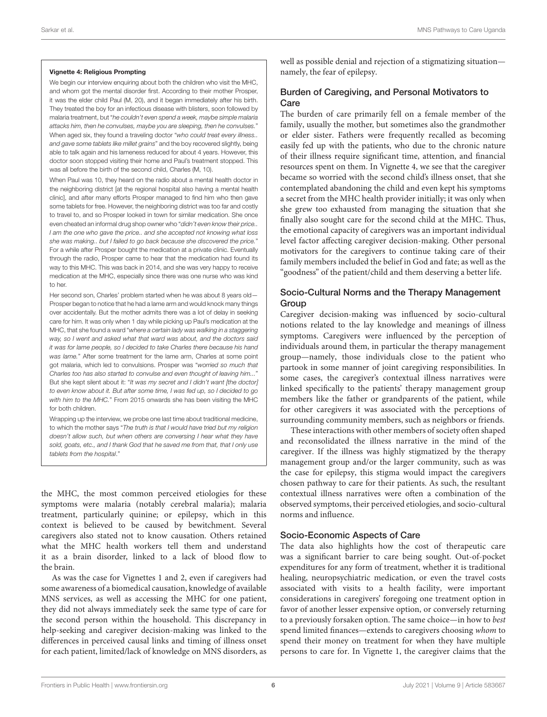#### Vignette 4: Religious Prompting

We begin our interview enquiring about both the children who visit the MHC, and whom got the mental disorder first. According to their mother Prosper, it was the elder child Paul (M, 20), and it began immediately after his birth. They treated the boy for an infectious disease with blisters, soon followed by malaria treatment, but "*he couldn't even spend a week, maybe simple malaria attacks him, then he convulses, maybe you are sleeping, then he convulses.*" When aged six, they found a traveling doctor "*who could treat every illness.. and gave some tablets like millet grains*" and the boy recovered slightly, being able to talk again and his lameness reduced for about 4 years. However, this doctor soon stopped visiting their home and Paul's treatment stopped. This was all before the birth of the second child, Charles (M, 10).

When Paul was 10, they heard on the radio about a mental health doctor in the neighboring district [at the regional hospital also having a mental health clinic], and after many efforts Prosper managed to find him who then gave some tablets for free. However, the neighboring district was too far and costly to travel to, and so Prosper looked in town for similar medication. She once even cheated an informal drug shop owner who "*didn't even know their price.. I am the one who gave the price.. and she accepted not knowing what loss she was making.. but I failed to go back because she discovered the price.*" For a while after Prosper bought the medication at a private clinic. Eventually through the radio, Prosper came to hear that the medication had found its way to this MHC. This was back in 2014, and she was very happy to receive medication at the MHC, especially since there was one nurse who was kind to her.

Her second son, Charles' problem started when he was about 8 years old-Prosper began to notice that he had a lame arm and would knock many things over accidentally. But the mother admits there was a lot of delay in seeking care for him. It was only when 1 day while picking up Paul's medication at the MHC, that she found a ward "*where a certain lady was walking in a staggering way, so I went and asked what that ward was about, and the doctors said it was for lame people, so I decided to take Charles there because his hand was lame.*" After some treatment for the lame arm, Charles at some point got malaria, which led to convulsions. Prosper was "*worried so much that Charles too has also started to convulse and even thought of leaving him...*" But she kept silent about it: "*It was my secret and I didn't want [the doctor] to even know about it. But after some time, I was fed up, so I decided to go with him to the MHC.*" From 2015 onwards she has been visiting the MHC for both children.

Wrapping up the interview, we probe one last time about traditional medicine. to which the mother says "*The truth is that I would have tried but my religion doesn't allow such, but when others are conversing I hear what they have sold, goats, etc., and I thank God that he saved me from that, that I only use tablets from the hospital*."

the MHC, the most common perceived etiologies for these symptoms were malaria (notably cerebral malaria); malaria treatment, particularly quinine; or epilepsy, which in this context is believed to be caused by bewitchment. Several caregivers also stated not to know causation. Others retained what the MHC health workers tell them and understand it as a brain disorder, linked to a lack of blood flow to the brain.

As was the case for Vignettes 1 and 2, even if caregivers had some awareness of a biomedical causation, knowledge of available MNS services, as well as accessing the MHC for one patient, they did not always immediately seek the same type of care for the second person within the household. This discrepancy in help-seeking and caregiver decision-making was linked to the differences in perceived causal links and timing of illness onset for each patient, limited/lack of knowledge on MNS disorders, as well as possible denial and rejection of a stigmatizing situation namely, the fear of epilepsy.

### Burden of Caregiving, and Personal Motivators to **Care**

The burden of care primarily fell on a female member of the family, usually the mother, but sometimes also the grandmother or elder sister. Fathers were frequently recalled as becoming easily fed up with the patients, who due to the chronic nature of their illness require significant time, attention, and financial resources spent on them. In Vignette 4, we see that the caregiver became so worried with the second child's illness onset, that she contemplated abandoning the child and even kept his symptoms a secret from the MHC health provider initially; it was only when she grew too exhausted from managing the situation that she finally also sought care for the second child at the MHC. Thus, the emotional capacity of caregivers was an important individual level factor affecting caregiver decision-making. Other personal motivators for the caregivers to continue taking care of their family members included the belief in God and fate; as well as the "goodness" of the patient/child and them deserving a better life.

### Socio-Cultural Norms and the Therapy Management **Group**

Caregiver decision-making was influenced by socio-cultural notions related to the lay knowledge and meanings of illness symptoms. Caregivers were influenced by the perception of individuals around them, in particular the therapy management group—namely, those individuals close to the patient who partook in some manner of joint caregiving responsibilities. In some cases, the caregiver's contextual illness narratives were linked specifically to the patients' therapy management group members like the father or grandparents of the patient, while for other caregivers it was associated with the perceptions of surrounding community members, such as neighbors or friends.

These interactions with other members of society often shaped and reconsolidated the illness narrative in the mind of the caregiver. If the illness was highly stigmatized by the therapy management group and/or the larger community, such as was the case for epilepsy, this stigma would impact the caregivers chosen pathway to care for their patients. As such, the resultant contextual illness narratives were often a combination of the observed symptoms, their perceived etiologies, and socio-cultural norms and influence.

### Socio-Economic Aspects of Care

The data also highlights how the cost of therapeutic care was a significant barrier to care being sought. Out-of-pocket expenditures for any form of treatment, whether it is traditional healing, neuropsychiatric medication, or even the travel costs associated with visits to a health facility, were important considerations in caregivers' foregoing one treatment option in favor of another lesser expensive option, or conversely returning to a previously forsaken option. The same choice—in how to best spend limited finances—extends to caregivers choosing whom to spend their money on treatment for when they have multiple persons to care for. In Vignette 1, the caregiver claims that the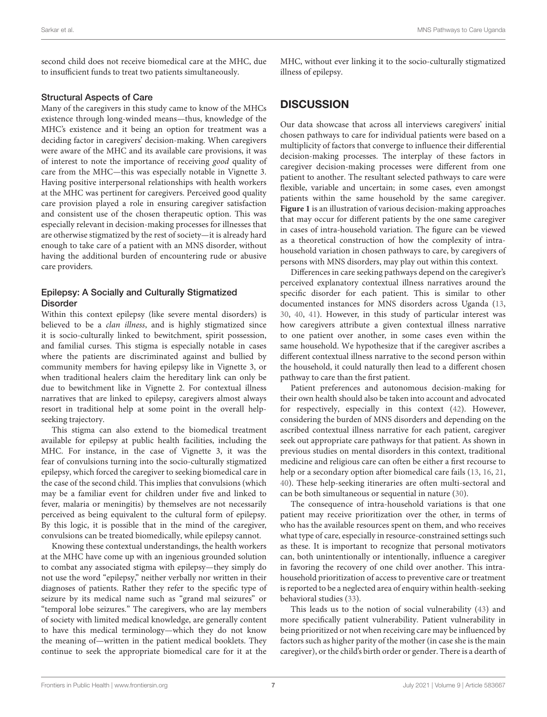second child does not receive biomedical care at the MHC, due to insufficient funds to treat two patients simultaneously.

### Structural Aspects of Care

Many of the caregivers in this study came to know of the MHCs existence through long-winded means—thus, knowledge of the MHC's existence and it being an option for treatment was a deciding factor in caregivers' decision-making. When caregivers were aware of the MHC and its available care provisions, it was of interest to note the importance of receiving good quality of care from the MHC—this was especially notable in Vignette 3. Having positive interpersonal relationships with health workers at the MHC was pertinent for caregivers. Perceived good quality care provision played a role in ensuring caregiver satisfaction and consistent use of the chosen therapeutic option. This was especially relevant in decision-making processes for illnesses that are otherwise stigmatized by the rest of society—it is already hard enough to take care of a patient with an MNS disorder, without having the additional burden of encountering rude or abusive care providers.

### Epilepsy: A Socially and Culturally Stigmatized Disorder

Within this context epilepsy (like severe mental disorders) is believed to be a *clan illness*, and is highly stigmatized since it is socio-culturally linked to bewitchment, spirit possession, and familial curses. This stigma is especially notable in cases where the patients are discriminated against and bullied by community members for having epilepsy like in Vignette 3, or when traditional healers claim the hereditary link can only be due to bewitchment like in Vignette 2. For contextual illness narratives that are linked to epilepsy, caregivers almost always resort in traditional help at some point in the overall helpseeking trajectory.

This stigma can also extend to the biomedical treatment available for epilepsy at public health facilities, including the MHC. For instance, in the case of Vignette 3, it was the fear of convulsions turning into the socio-culturally stigmatized epilepsy, which forced the caregiver to seeking biomedical care in the case of the second child. This implies that convulsions (which may be a familiar event for children under five and linked to fever, malaria or meningitis) by themselves are not necessarily perceived as being equivalent to the cultural form of epilepsy. By this logic, it is possible that in the mind of the caregiver, convulsions can be treated biomedically, while epilepsy cannot.

Knowing these contextual understandings, the health workers at the MHC have come up with an ingenious grounded solution to combat any associated stigma with epilepsy—they simply do not use the word "epilepsy," neither verbally nor written in their diagnoses of patients. Rather they refer to the specific type of seizure by its medical name such as "grand mal seizures" or "temporal lobe seizures." The caregivers, who are lay members of society with limited medical knowledge, are generally content to have this medical terminology—which they do not know the meaning of—written in the patient medical booklets. They continue to seek the appropriate biomedical care for it at the MHC, without ever linking it to the socio-culturally stigmatized illness of epilepsy.

### **DISCUSSION**

Our data showcase that across all interviews caregivers' initial chosen pathways to care for individual patients were based on a multiplicity of factors that converge to influence their differential decision-making processes. The interplay of these factors in caregiver decision-making processes were different from one patient to another. The resultant selected pathways to care were flexible, variable and uncertain; in some cases, even amongst patients within the same household by the same caregiver. **[Figure 1](#page-7-0)** is an illustration of various decision-making approaches that may occur for different patients by the one same caregiver in cases of intra-household variation. The figure can be viewed as a theoretical construction of how the complexity of intrahousehold variation in chosen pathways to care, by caregivers of persons with MNS disorders, may play out within this context.

Differences in care seeking pathways depend on the caregiver's perceived explanatory contextual illness narratives around the specific disorder for each patient. This is similar to other documented instances for MNS disorders across Uganda [\(13,](#page-9-11) [30,](#page-10-8) [40,](#page-10-18) [41\)](#page-10-19). However, in this study of particular interest was how caregivers attribute a given contextual illness narrative to one patient over another, in some cases even within the same household. We hypothesize that if the caregiver ascribes a different contextual illness narrative to the second person within the household, it could naturally then lead to a different chosen pathway to care than the first patient.

Patient preferences and autonomous decision-making for their own health should also be taken into account and advocated for respectively, especially in this context [\(42\)](#page-10-20). However, considering the burden of MNS disorders and depending on the ascribed contextual illness narrative for each patient, caregiver seek out appropriate care pathways for that patient. As shown in previous studies on mental disorders in this context, traditional medicine and religious care can often be either a first recourse to help or a secondary option after biomedical care fails [\(13,](#page-9-11) [16,](#page-10-0) [21,](#page-10-21) [40\)](#page-10-18). These help-seeking itineraries are often multi-sectoral and can be both simultaneous or sequential in nature [\(30\)](#page-10-8).

The consequence of intra-household variations is that one patient may receive prioritization over the other, in terms of who has the available resources spent on them, and who receives what type of care, especially in resource-constrained settings such as these. It is important to recognize that personal motivators can, both unintentionally or intentionally, influence a caregiver in favoring the recovery of one child over another. This intrahousehold prioritization of access to preventive care or treatment is reported to be a neglected area of enquiry within health-seeking behavioral studies [\(33\)](#page-10-11).

This leads us to the notion of social vulnerability [\(43\)](#page-10-22) and more specifically patient vulnerability. Patient vulnerability in being prioritized or not when receiving care may be influenced by factors such as higher parity of the mother (in case she is the main caregiver), or the child's birth order or gender. There is a dearth of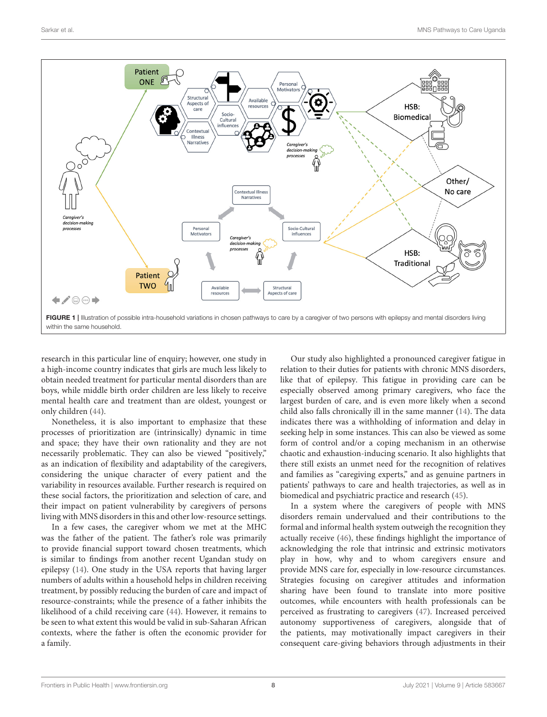

<span id="page-7-0"></span>research in this particular line of enquiry; however, one study in a high-income country indicates that girls are much less likely to obtain needed treatment for particular mental disorders than are boys, while middle birth order children are less likely to receive mental health care and treatment than are oldest, youngest or only children [\(44\)](#page-10-23).

Nonetheless, it is also important to emphasize that these processes of prioritization are (intrinsically) dynamic in time and space; they have their own rationality and they are not necessarily problematic. They can also be viewed "positively," as an indication of flexibility and adaptability of the caregivers, considering the unique character of every patient and the variability in resources available. Further research is required on these social factors, the prioritization and selection of care, and their impact on patient vulnerability by caregivers of persons living with MNS disorders in this and other low-resource settings.

In a few cases, the caregiver whom we met at the MHC was the father of the patient. The father's role was primarily to provide financial support toward chosen treatments, which is similar to findings from another recent Ugandan study on epilepsy [\(14\)](#page-9-12). One study in the USA reports that having larger numbers of adults within a household helps in children receiving treatment, by possibly reducing the burden of care and impact of resource-constraints; while the presence of a father inhibits the likelihood of a child receiving care [\(44\)](#page-10-23). However, it remains to be seen to what extent this would be valid in sub-Saharan African contexts, where the father is often the economic provider for a family.

Our study also highlighted a pronounced caregiver fatigue in relation to their duties for patients with chronic MNS disorders, like that of epilepsy. This fatigue in providing care can be especially observed among primary caregivers, who face the largest burden of care, and is even more likely when a second child also falls chronically ill in the same manner [\(14\)](#page-9-12). The data indicates there was a withholding of information and delay in seeking help in some instances. This can also be viewed as some form of control and/or a coping mechanism in an otherwise chaotic and exhaustion-inducing scenario. It also highlights that there still exists an unmet need for the recognition of relatives and families as "caregiving experts," and as genuine partners in patients' pathways to care and health trajectories, as well as in biomedical and psychiatric practice and research [\(45\)](#page-10-24).

In a system where the caregivers of people with MNS disorders remain undervalued and their contributions to the formal and informal health system outweigh the recognition they actually receive [\(46\)](#page-10-25), these findings highlight the importance of acknowledging the role that intrinsic and extrinsic motivators play in how, why and to whom caregivers ensure and provide MNS care for, especially in low-resource circumstances. Strategies focusing on caregiver attitudes and information sharing have been found to translate into more positive outcomes, while encounters with health professionals can be perceived as frustrating to caregivers [\(47\)](#page-10-26). Increased perceived autonomy supportiveness of caregivers, alongside that of the patients, may motivationally impact caregivers in their consequent care-giving behaviors through adjustments in their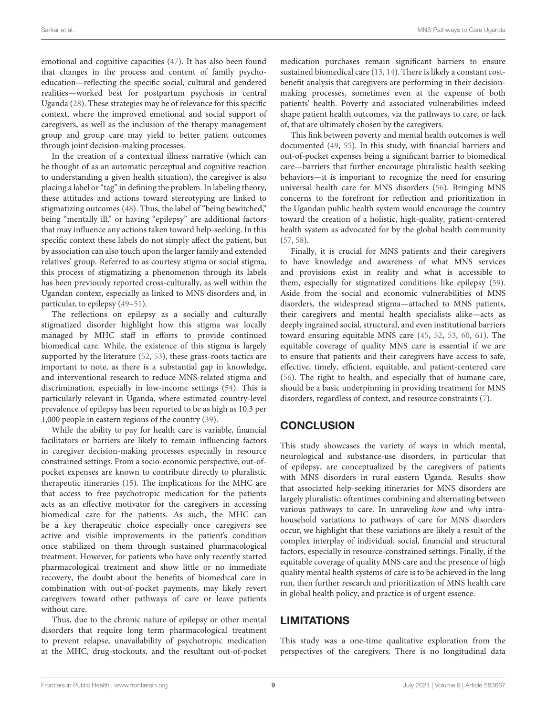emotional and cognitive capacities [\(47\)](#page-10-26). It has also been found that changes in the process and content of family psychoeducation—reflecting the specific social, cultural and gendered realities—worked best for postpartum psychosis in central Uganda [\(28\)](#page-10-6). These strategies may be of relevance for this specific context, where the improved emotional and social support of caregivers, as well as the inclusion of the therapy management group and group care may yield to better patient outcomes through joint decision-making processes.

In the creation of a contextual illness narrative (which can be thought of as an automatic perceptual and cognitive reaction to understanding a given health situation), the caregiver is also placing a label or "tag" in defining the problem. In labeling theory, these attitudes and actions toward stereotyping are linked to stigmatizing outcomes [\(48\)](#page-10-27). Thus, the label of "being bewitched," being "mentally ill," or having "epilepsy" are additional factors that may influence any actions taken toward help-seeking. In this specific context these labels do not simply affect the patient, but by association can also touch upon the larger family and extended relatives' group. Referred to as courtesy stigma or social stigma, this process of stigmatizing a phenomenon through its labels has been previously reported cross-culturally, as well within the Ugandan context, especially as linked to MNS disorders and, in particular, to epilepsy [\(49–](#page-10-28)[51\)](#page-10-29).

The reflections on epilepsy as a socially and culturally stigmatized disorder highlight how this stigma was locally managed by MHC staff in efforts to provide continued biomedical care. While, the existence of this stigma is largely supported by the literature [\(52,](#page-10-30) [53\)](#page-10-31), these grass-roots tactics are important to note, as there is a substantial gap in knowledge, and interventional research to reduce MNS-related stigma and discrimination, especially in low-income settings [\(54\)](#page-11-0). This is particularly relevant in Uganda, where estimated country-level prevalence of epilepsy has been reported to be as high as 10.3 per 1,000 people in eastern regions of the country [\(39\)](#page-10-17).

While the ability to pay for health care is variable, financial facilitators or barriers are likely to remain influencing factors in caregiver decision-making processes especially in resource constrained settings. From a socio-economic perspective, out-ofpocket expenses are known to contribute directly to pluralistic therapeutic itineraries [\(15\)](#page-9-13). The implications for the MHC are that access to free psychotropic medication for the patients acts as an effective motivator for the caregivers in accessing biomedical care for the patients. As such, the MHC can be a key therapeutic choice especially once caregivers see active and visible improvements in the patient's condition once stabilized on them through sustained pharmacological treatment. However, for patients who have only recently started pharmacological treatment and show little or no immediate recovery, the doubt about the benefits of biomedical care in combination with out-of-pocket payments, may likely revert caregivers toward other pathways of care or leave patients without care.

Thus, due to the chronic nature of epilepsy or other mental disorders that require long term pharmacological treatment to prevent relapse, unavailability of psychotropic medication at the MHC, drug-stockouts, and the resultant out-of-pocket medication purchases remain significant barriers to ensure sustained biomedical care [\(13,](#page-9-11) [14\)](#page-9-12). There is likely a constant costbenefit analysis that caregivers are performing in their decisionmaking processes, sometimes even at the expense of both patients' health. Poverty and associated vulnerabilities indeed shape patient health outcomes, via the pathways to care, or lack of, that are ultimately chosen by the caregivers.

This link between poverty and mental health outcomes is well documented [\(49,](#page-10-28) [55\)](#page-11-1). In this study, with financial barriers and out-of-pocket expenses being a significant barrier to biomedical care—barriers that further encourage pluralistic health seeking behaviors—it is important to recognize the need for ensuring universal health care for MNS disorders [\(56\)](#page-11-2). Bringing MNS concerns to the forefront for reflection and prioritization in the Ugandan public health system would encourage the country toward the creation of a holistic, high-quality, patient-centered health system as advocated for by the global health community [\(57,](#page-11-3) [58\)](#page-11-4).

Finally, it is crucial for MNS patients and their caregivers to have knowledge and awareness of what MNS services and provisions exist in reality and what is accessible to them, especially for stigmatized conditions like epilepsy [\(59\)](#page-11-5). Aside from the social and economic vulnerabilities of MNS disorders, the widespread stigma—attached to MNS patients, their caregivers and mental health specialists alike—acts as deeply ingrained social, structural, and even institutional barriers toward ensuring equitable MNS care [\(45,](#page-10-24) [52,](#page-10-30) [53,](#page-10-31) [60,](#page-11-6) [61\)](#page-11-7). The equitable coverage of quality MNS care is essential if we are to ensure that patients and their caregivers have access to safe, effective, timely, efficient, equitable, and patient-centered care [\(56\)](#page-11-2). The right to health, and especially that of humane care, should be a basic underpinning in providing treatment for MNS disorders, regardless of context, and resource constraints [\(7\)](#page-9-6).

# **CONCLUSION**

This study showcases the variety of ways in which mental, neurological and substance-use disorders, in particular that of epilepsy, are conceptualized by the caregivers of patients with MNS disorders in rural eastern Uganda. Results show that associated help-seeking itineraries for MNS disorders are largely pluralistic; oftentimes combining and alternating between various pathways to care. In unraveling how and why intrahousehold variations to pathways of care for MNS disorders occur, we highlight that these variations are likely a result of the complex interplay of individual, social, financial and structural factors, especially in resource-constrained settings. Finally, if the equitable coverage of quality MNS care and the presence of high quality mental health systems of care is to be achieved in the long run, then further research and prioritization of MNS health care in global health policy, and practice is of urgent essence.

### LIMITATIONS

This study was a one-time qualitative exploration from the perspectives of the caregivers. There is no longitudinal data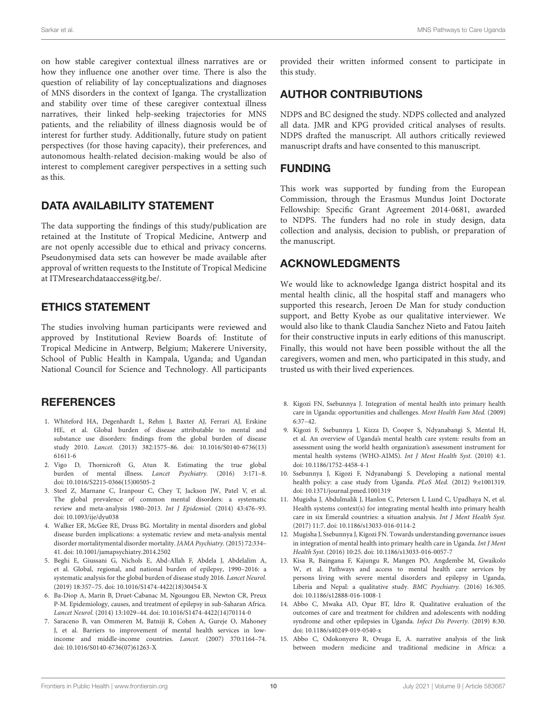on how stable caregiver contextual illness narratives are or how they influence one another over time. There is also the question of reliability of lay conceptualizations and diagnoses of MNS disorders in the context of Iganga. The crystallization and stability over time of these caregiver contextual illness narratives, their linked help-seeking trajectories for MNS patients, and the reliability of illness diagnosis would be of interest for further study. Additionally, future study on patient perspectives (for those having capacity), their preferences, and autonomous health-related decision-making would be also of interest to complement caregiver perspectives in a setting such as this.

# DATA AVAILABILITY STATEMENT

The data supporting the findings of this study/publication are retained at the Institute of Tropical Medicine, Antwerp and are not openly accessible due to ethical and privacy concerns. Pseudonymised data sets can however be made available after approval of written requests to the Institute of Tropical Medicine at [ITMresearchdataaccess@itg.be/.](mailto:ITMresearchdataaccess@itg.be/)

# ETHICS STATEMENT

The studies involving human participants were reviewed and approved by Institutional Review Boards of: Institute of Tropical Medicine in Antwerp, Belgium; Makerere University, School of Public Health in Kampala, Uganda; and Ugandan National Council for Science and Technology. All participants

# REFERENCES

- <span id="page-9-0"></span>1. Whiteford HA, Degenhardt L, Rehm J, Baxter AJ, Ferrari AJ, Erskine HE, et al. Global burden of disease attributable to mental and substance use disorders: findings from the global burden of disease study 2010. Lancet. [\(2013\) 382:1575–86. doi: 10.1016/S0140-6736\(13\)](https://doi.org/10.1016/S0140-6736(13)61611-6) 61611-6
- <span id="page-9-1"></span>2. Vigo D, Thornicroft G, Atun R. Estimating the true global burden of mental illness. Lancet Psychiatry. (2016) 3:171–8. doi: [10.1016/S2215-0366\(15\)00505-2](https://doi.org/10.1016/S2215-0366(15)00505-2)
- <span id="page-9-2"></span>3. Steel Z, Marnane C, Iranpour C, Chey T, Jackson JW, Patel V, et al. The global prevalence of common mental disorders: a systematic review and meta-analysis 1980–2013. Int J Epidemiol. (2014) 43:476–93. doi: [10.1093/ije/dyu038](https://doi.org/10.1093/ije/dyu038)
- <span id="page-9-3"></span>4. Walker ER, McGee RE, Druss BG. Mortality in mental disorders and global disease burden implications: a systematic review and meta-analysis mental disorder mortalitymental disorder mortality. JAMA Psychiatry. (2015) 72:334– 41. doi: [10.1001/jamapsychiatry.2014.2502](https://doi.org/10.1001/jamapsychiatry.2014.2502)
- <span id="page-9-4"></span>5. Beghi E, Giussani G, Nichols E, Abd-Allah F, Abdela J, Abdelalim A, et al. Global, regional, and national burden of epilepsy, 1990–2016: a systematic analysis for the global burden of disease study 2016. Lancet Neurol. (2019) 18:357–75. doi: [10.1016/S1474-4422\(18\)30454-X](https://doi.org/10.1016/S1474-4422(18)30454-X)
- <span id="page-9-5"></span>6. Ba-Diop A, Marin B, Druet-Cabanac M, Ngoungou EB, Newton CR, Preux P-M. Epidemiology, causes, and treatment of epilepsy in sub-Saharan Africa. Lancet Neurol. (2014) 13:1029–44. doi: [10.1016/S1474-4422\(14\)70114-0](https://doi.org/10.1016/S1474-4422(14)70114-0)
- <span id="page-9-6"></span>7. Saraceno B, van Ommeren M, Batniji R, Cohen A, Gureje O, Mahoney J, et al. Barriers to improvement of mental health services in lowincome and middle-income countries. Lancet. (2007) 370:1164–74. doi: [10.1016/S0140-6736\(07\)61263-X](https://doi.org/10.1016/S0140-6736(07)61263-X)

provided their written informed consent to participate in this study.

# AUTHOR CONTRIBUTIONS

NDPS and BC designed the study. NDPS collected and analyzed all data. JMR and KPG provided critical analyses of results. NDPS drafted the manuscript. All authors critically reviewed manuscript drafts and have consented to this manuscript.

### FUNDING

This work was supported by funding from the European Commission, through the Erasmus Mundus Joint Doctorate Fellowship: Specific Grant Agreement 2014-0681, awarded to NDPS. The funders had no role in study design, data collection and analysis, decision to publish, or preparation of the manuscript.

# ACKNOWLEDGMENTS

We would like to acknowledge Iganga district hospital and its mental health clinic, all the hospital staff and managers who supported this research, Jeroen De Man for study conduction support, and Betty Kyobe as our qualitative interviewer. We would also like to thank Claudia Sanchez Nieto and Fatou Jaiteh for their constructive inputs in early editions of this manuscript. Finally, this would not have been possible without the all the caregivers, women and men, who participated in this study, and trusted us with their lived experiences.

- <span id="page-9-7"></span>8. Kigozi FN, Ssebunnya J. Integration of mental health into primary health care in Uganda: opportunities and challenges. Ment Health Fam Med. (2009) 6:37–42.
- 9. Kigozi F, Ssebunnya J, Kizza D, Cooper S, Ndyanabangi S, Mental H, et al. An overview of Uganda's mental health care system: results from an assessment using the world health organization's assessment instrument for mental health systems (WHO-AIMS). Int J Ment Health Syst. (2010) 4:1. doi: [10.1186/1752-4458-4-1](https://doi.org/10.1186/1752-4458-4-1)
- <span id="page-9-8"></span>10. Ssebunnya J, Kigozi F, Ndyanabangi S. Developing a national mental health policy: a case study from Uganda. PLoS Med. (2012) 9:e1001319. doi: [10.1371/journal.pmed.1001319](https://doi.org/10.1371/journal.pmed.1001319)
- <span id="page-9-9"></span>11. Mugisha J, Abdulmalik J, Hanlon C, Petersen I, Lund C, Upadhaya N, et al. Health systems context(s) for integrating mental health into primary health care in six Emerald countries: a situation analysis. Int J Ment Health Syst. (2017) 11:7. doi: [10.1186/s13033-016-0114-2](https://doi.org/10.1186/s13033-016-0114-2)
- <span id="page-9-10"></span>12. Mugisha J, Ssebunnya J, Kigozi FN. Towards understanding governance issues in integration of mental health into primary health care in Uganda. Int J Ment Health Syst. (2016) 10:25. doi: [10.1186/s13033-016-0057-7](https://doi.org/10.1186/s13033-016-0057-7)
- <span id="page-9-11"></span>13. Kisa R, Baingana F, Kajungu R, Mangen PO, Angdembe M, Gwaikolo W, et al. Pathways and access to mental health care services by persons living with severe mental disorders and epilepsy in Uganda, Liberia and Nepal: a qualitative study. BMC Psychiatry. (2016) 16:305. doi: [10.1186/s12888-016-1008-1](https://doi.org/10.1186/s12888-016-1008-1)
- <span id="page-9-12"></span>14. Abbo C, Mwaka AD, Opar BT, Idro R. Qualitative evaluation of the outcomes of care and treatment for children and adolescents with nodding syndrome and other epilepsies in Uganda. Infect Dis Poverty. (2019) 8:30. doi: [10.1186/s40249-019-0540-x](https://doi.org/10.1186/s40249-019-0540-x)
- <span id="page-9-13"></span>15. Abbo C, Odokonyero R, Ovuga E, A. narrative analysis of the link between modern medicine and traditional medicine in Africa: a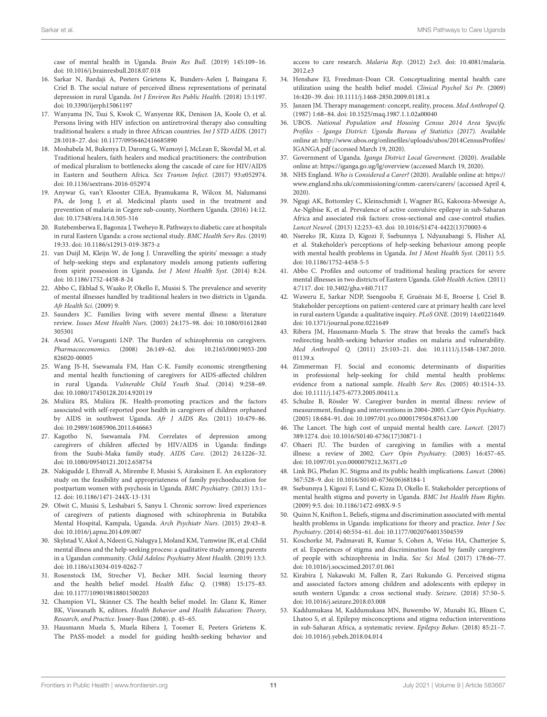case of mental health in Uganda. Brain Res Bull. (2019) 145:109–16. doi: [10.1016/j.brainresbull.2018.07.018](https://doi.org/10.1016/j.brainresbull.2018.07.018)

- <span id="page-10-0"></span>16. Sarkar N, Bardaji A, Peeters Grietens K, Bunders-Aelen J, Baingana F, Criel B. The social nature of perceived illness representations of perinatal depression in rural Uganda. Int J Environ Res Public Health. (2018) 15:1197. doi: [10.3390/ijerph15061197](https://doi.org/10.3390/ijerph15061197)
- 17. Wanyama JN, Tsui S, Kwok C, Wanyenze RK, Denison JA, Koole O, et al. Persons living with HIV infection on antiretroviral therapy also consulting traditional healers: a study in three African countries. Int J STD AIDS. (2017) 28:1018–27. doi: [10.1177/0956462416685890](https://doi.org/10.1177/0956462416685890)
- 18. Moshabela M, Bukenya D, Darong G, Wamoyi J, McLean E, Skovdal M, et al. Traditional healers, faith healers and medical practitioners: the contribution of medical pluralism to bottlenecks along the cascade of care for HIV/AIDS in Eastern and Southern Africa. Sex Transm Infect. (2017) 93:e052974. doi: [10.1136/sextrans-2016-052974](https://doi.org/10.1136/sextrans-2016-052974)
- 19. Anywar G, van't Klooster CIEA, Byamukama R, Wilcox M, Nalumansi PA, de Jong J, et al. Medicinal plants used in the treatment and prevention of malaria in Cegere sub-county, Northern Uganda. (2016) 14:12. doi: [10.17348/era.14.0.505-516](https://doi.org/10.17348/era.14.0.505-516)
- 20. Rutebemberwa E, Bagonza J, Tweheyo R. Pathways to diabetic care at hospitals in rural Eastern Uganda: a cross sectional study. BMC Health Serv Res. (2019) 19:33. doi: [10.1186/s12913-019-3873-z](https://doi.org/10.1186/s12913-019-3873-z)
- <span id="page-10-21"></span>21. van Duijl M, Kleijn W, de Jong J. Unravelling the spirits' message: a study of help-seeking steps and explanatory models among patients suffering from spirit possession in Uganda. Int J Ment Health Syst. (2014) 8:24. doi: [10.1186/1752-4458-8-24](https://doi.org/10.1186/1752-4458-8-24)
- <span id="page-10-1"></span>22. Abbo C, Ekblad S, Waako P, Okello E, Musisi S. The prevalence and severity of mental illnesses handled by traditional healers in two districts in Uganda. Afr Health Sci. (2009) 9.
- <span id="page-10-2"></span>23. Saunders JC. Families living with severe mental illness: a literature review. Issues Ment Health Nurs. [\(2003\) 24:175–98. doi: 10.1080/01612840](https://doi.org/10.1080/01612840305301) 305301
- <span id="page-10-3"></span>24. Awad AG, Voruganti LNP. The Burden of schizophrenia on caregivers. Pharmacoeconomics. [\(2008\) 26:149–62. doi: 10.2165/00019053-200](https://doi.org/10.2165/00019053-200826020-00005) 826020-00005
- <span id="page-10-4"></span>25. Wang JS-H, Ssewamala FM, Han C-K. Family economic strengthening and mental health functioning of caregivers for AIDS-affected children in rural Uganda. Vulnerable Child Youth Stud. (2014) 9:258–69. doi: [10.1080/17450128.2014.920119](https://doi.org/10.1080/17450128.2014.920119)
- 26. Muliira RS, Muliira JK. Health-promoting practices and the factors associated with self-reported poor health in caregivers of children orphaned by AIDS in southwest Uganda. Afr J AIDS Res. (2011) 10:479–86. doi: [10.2989/16085906.2011.646663](https://doi.org/10.2989/16085906.2011.646663)
- <span id="page-10-5"></span>27. Kagotho N, Ssewamala FM. Correlates of depression among caregivers of children affected by HIV/AIDS in Uganda: findings from the Suubi-Maka family study. AIDS Care. (2012) 24:1226–32. doi: [10.1080/09540121.2012.658754](https://doi.org/10.1080/09540121.2012.658754)
- <span id="page-10-6"></span>28. Nakigudde J, Ehnvall A, Mirembe F, Musisi S, Airaksinen E. An exploratory study on the feasibility and appropriateness of family psychoeducation for postpartum women with psychosis in Uganda. BMC Psychiatry. (2013) 13:1– 12. doi: [10.1186/1471-244X-13-131](https://doi.org/10.1186/1471-244X-13-131)
- <span id="page-10-7"></span>29. Olwit C, Musisi S, Leshabari S, Sanyu I. Chronic sorrow: lived experiences of caregivers of patients diagnosed with schizophrenia in Butabika Mental Hospital, Kampala, Uganda. Arch Psychiatr Nurs. (2015) 29:43–8. doi: [10.1016/j.apnu.2014.09.007](https://doi.org/10.1016/j.apnu.2014.09.007)
- <span id="page-10-8"></span>30. Skylstad V, Akol A, Ndeezi G, Nalugya J, Moland KM, Tumwine JK, et al. Child mental illness and the help-seeking process: a qualitative study among parents in a Ugandan community. Child Adolesc Psychiatry Ment Health. (2019) 13:3. doi: [10.1186/s13034-019-0262-7](https://doi.org/10.1186/s13034-019-0262-7)
- <span id="page-10-9"></span>31. Rosenstock IM, Strecher VJ, Becker MH. Social learning theory and the health belief model. Health Educ Q. (1988) 15:175–83. doi: [10.1177/109019818801500203](https://doi.org/10.1177/109019818801500203)
- <span id="page-10-10"></span>32. Champion VL, Skinner CS. The health belief model. In: Glanz K, Rimer BK, Viswanath K, editors. Health Behavior and Health Education: Theory, Research, and Practice. Jossey-Bass (2008). p. 45–65.
- <span id="page-10-11"></span>33. Hausmann Muela S, Muela Ribera J, Toomer E, Peeters Grietens K. The PASS-model: a model for guiding health-seeking behavior and

access to care research. Malaria Rep. [\(2012\) 2:e3. doi: 10.4081/malaria.](https://doi.org/10.4081/malaria.2012.e3) 2012.e3

- <span id="page-10-12"></span>34. Henshaw EJ, Freedman-Doan CR. Conceptualizing mental health care utilization using the health belief model. Clinical Psychol Sci Pr. (2009) 16:420–39. doi: [10.1111/j.1468-2850.2009.01181.x](https://doi.org/10.1111/j.1468-2850.2009.01181.x)
- <span id="page-10-13"></span>35. Janzen JM. Therapy management: concept, reality, process. Med Anthropol Q. (1987) 1:68–84. doi: [10.1525/maq.1987.1.1.02a00040](https://doi.org/10.1525/maq.1987.1.1.02a00040)
- <span id="page-10-14"></span>36. UBOS. National Population and Housing Census 2014 Area Specific Profiles - Iganga District: Uganda Bureau of Statistics (2017). Available online at: [http://www.ubos.org/onlinefiles/uploads/ubos/2014CensusProfiles/](http://www.ubos.org/onlinefiles/uploads/ubos/2014CensusProfiles/IGANGA.pdf) [IGANGA.pdf](http://www.ubos.org/onlinefiles/uploads/ubos/2014CensusProfiles/IGANGA.pdf) (accessed March 19, 2020).
- <span id="page-10-15"></span>37. Government of Uganda. Iganga District Local Goverment. (2020). Available online at:<https://iganga.go.ug/lg/overview> (accessed March 19, 2020).
- <span id="page-10-16"></span>38. NHS England. Who is Considered a Carer? (2020). Available online at: [https://](https://www.england.nhs.uk/commissioning/comm-carers/carers/) [www.england.nhs.uk/commissioning/comm-carers/carers/](https://www.england.nhs.uk/commissioning/comm-carers/carers/) (accessed April 4, 2020).
- <span id="page-10-17"></span>39. Ngugi AK, Bottomley C, Kleinschmidt I, Wagner RG, Kakooza-Mwesige A, Ae-Ngibise K, et al. Prevalence of active convulsive epilepsy in sub-Saharan Africa and associated risk factors: cross-sectional and case-control studies. Lancet Neurol. (2013) 12:253–63. doi: [10.1016/S1474-4422\(13\)70003-6](https://doi.org/10.1016/S1474-4422(13)70003-6)
- <span id="page-10-18"></span>40. Nsereko JR, Kizza D, Kigozi F, Ssebunnya J, Ndyanabangi S, Flisher AJ, et al. Stakeholder's perceptions of help-seeking behaviour among people with mental health problems in Uganda. Int J Ment Health Syst. (2011) 5:5. doi: [10.1186/1752-4458-5-5](https://doi.org/10.1186/1752-4458-5-5)
- <span id="page-10-19"></span>41. Abbo C. Profiles and outcome of traditional healing practices for severe mental illnesses in two districts of Eastern Uganda. Glob Health Action. (2011) 4:7117. doi: [10.3402/gha.v4i0.7117](https://doi.org/10.3402/gha.v4i0.7117)
- <span id="page-10-20"></span>42. Waweru E, Sarkar NDP, Ssengooba F, Gruénais M-E, Broerse J, Criel B. Stakeholder perceptions on patient-centered care at primary health care level in rural eastern Uganda: a qualitative inquiry. PLoS ONE. (2019) 14:e0221649. doi: [10.1371/journal.pone.0221649](https://doi.org/10.1371/journal.pone.0221649)
- <span id="page-10-22"></span>43. Ribera JM, Hausmann-Muela S. The straw that breaks the camel's back redirecting health-seeking behavior studies on malaria and vulnerability. Med Anthropol Q. [\(2011\) 25:103–21. doi: 10.1111/j.1548-1387.2010.](https://doi.org/10.1111/j.1548-1387.2010.01139.x) 01139.x
- <span id="page-10-23"></span>44. Zimmerman FJ. Social and economic determinants of disparities in professional help-seeking for child mental health problems: evidence from a national sample. Health Serv Res. (2005) 40:1514–33. doi: [10.1111/j.1475-6773.2005.00411.x](https://doi.org/10.1111/j.1475-6773.2005.00411.x)
- <span id="page-10-24"></span>45. Schulze B, Rössler W. Caregiver burden in mental illness: review of measurement, findings and interventions in 2004–2005. Curr Opin Psychiatry. (2005) 18:684–91. doi: [10.1097/01.yco.0000179504.87613.00](https://doi.org/10.1097/01.yco.0000179504.87613.00)
- <span id="page-10-25"></span>46. The Lancet. The high cost of unpaid mental health care. Lancet. (2017) 389:1274. doi: [10.1016/S0140-6736\(17\)30871-1](https://doi.org/10.1016/S0140-6736(17)30871-1)
- <span id="page-10-26"></span>47. Ohaeri JU. The burden of caregiving in families with a mental illness: a review of 2002. Curr Opin Psychiatry. (2003) 16:457–65. doi: [10.1097/01.yco.0000079212.36371.c0](https://doi.org/10.1097/01.yco.0000079212.36371.c0)
- <span id="page-10-27"></span>48. Link BG, Phelan JC. Stigma and its public health implications. Lancet. (2006) 367:528–9. doi: [10.1016/S0140-6736\(06\)68184-1](https://doi.org/10.1016/S0140-6736(06)68184-1)
- <span id="page-10-28"></span>49. Ssebunnya J, Kigozi F, Lund C, Kizza D, Okello E. Stakeholder perceptions of mental health stigma and poverty in Uganda. BMC Int Health Hum Rights. (2009) 9:5. doi: [10.1186/1472-698X-9-5](https://doi.org/10.1186/1472-698X-9-5)
- 50. Quinn N, Knifton L. Beliefs, stigma and discrimination associated with mental health problems in Uganda: implications for theory and practice. Inter J Soc Psychiatry. (2014) 60:554–61. doi: [10.1177/0020764013504559](https://doi.org/10.1177/0020764013504559)
- <span id="page-10-29"></span>51. Koschorke M, Padmavati R, Kumar S, Cohen A, Weiss HA, Chatterjee S, et al. Experiences of stigma and discrimination faced by family caregivers of people with schizophrenia in India. Soc Sci Med. (2017) 178:66–77. doi: [10.1016/j.socscimed.2017.01.061](https://doi.org/10.1016/j.socscimed.2017.01.061)
- <span id="page-10-30"></span>52. Kirabira J, Nakawuki M, Fallen R, Zari Rukundo G. Perceived stigma and associated factors among children and adolescents with epilepsy in south western Uganda: a cross sectional study. Seizure. (2018) 57:50–5. doi: [10.1016/j.seizure.2018.03.008](https://doi.org/10.1016/j.seizure.2018.03.008)
- <span id="page-10-31"></span>53. Kaddumukasa M, Kaddumukasa MN, Buwembo W, Munabi IG, Blixen C, Lhatoo S, et al. Epilepsy misconceptions and stigma reduction interventions in sub-Saharan Africa, a systematic review. Epilepsy Behav. (2018) 85:21–7. doi: [10.1016/j.yebeh.2018.04.014](https://doi.org/10.1016/j.yebeh.2018.04.014)